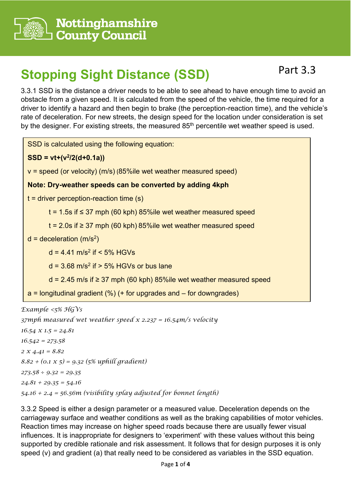

# **Stopping Sight Distance (SSD)**

# Part 3.3

3.3.1 SSD is the distance a driver needs to be able to see ahead to have enough time to avoid an obstacle from a given speed. It is calculated from the speed of the vehicle, the time required for a driver to identify a hazard and then begin to brake (the perception-reaction time), and the vehicle's rate of deceleration. For new streets, the design speed for the location under consideration is set by the designer. For existing streets, the measured 85<sup>th</sup> percentile wet weather speed is used.

*Example <5% HGVs* SSD is calculated using the following equation:  $SSD = vt + (v^2/2(d+0.1a))$ v = speed (or velocity) (m/s) (85%ile wet weather measured speed) **Note: Dry-weather speeds can be converted by adding 4kph**  $t =$  driver perception-reaction time  $(s)$ t = 1.5s if ≤ 37 mph (60 kph) 85%ile wet weather measured speed t = 2.0s if ≥ 37 mph (60 kph) 85%ile wet weather measured speed  $d =$  deceleration (m/s<sup>2</sup>)  $d = 4.41$  m/s<sup>2</sup> if < 5% HGVs  $d = 3.68$  m/s<sup>2</sup> if  $> 5\%$  HGVs or bus lane d = 2.45 m/s if ≥ 37 mph (60 kph) 85%ile wet weather measured speed  $a =$  longitudinal gradient (%) ( $+$  for upgrades and  $-$  for downgrades)

*37mph measured wet weather speed x 2.237 = 16.54m/s velocity 16.54 x 1.5 = 24.81 16.542 = 273.58 2 x 4.41 = 8.82 8.82 + (0.1 x 5) = 9.32 (5% uphill gradient) 273.58 9.32 = 29.35 24.81 + 29.35 = 54.16 54.16 + 2.4 = 56.56m (visibility splay adjusted for bonnet length)*

3.3.2 Speed is either a design parameter or a measured value. Deceleration depends on the carriageway surface and weather conditions as well as the braking capabilities of motor vehicles. Reaction times may increase on higher speed roads because there are usually fewer visual influences. It is inappropriate for designers to 'experiment' with these values without this being supported by credible rationale and risk assessment. It follows that for design purposes it is only speed (v) and gradient (a) that really need to be considered as variables in the SSD equation.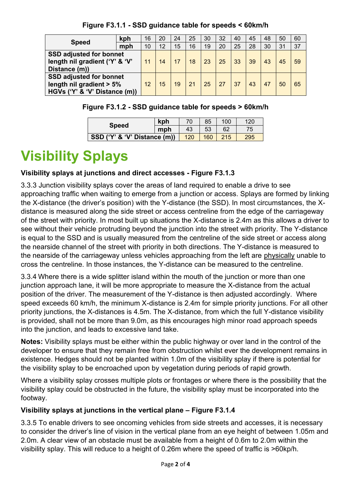| <b>Speed</b>                   | kph | 16 | 20 | 24 | 25 | 30 | 32 | 40 | 45 | 48 | 50 | 60 |
|--------------------------------|-----|----|----|----|----|----|----|----|----|----|----|----|
|                                | mph | 10 | 12 | 15 | 16 | 19 | 20 | 25 | 28 | 30 | 31 | 37 |
| <b>SSD adjusted for bonnet</b> |     |    |    |    |    |    |    |    |    |    |    |    |
| length nil gradient ('Y' & 'V' |     | 11 | 14 | 17 | 18 | 23 | 25 | 33 | 39 | 43 | 45 | 59 |
| Distance (m))                  |     |    |    |    |    |    |    |    |    |    |    |    |
| <b>SSD adjusted for bonnet</b> |     |    |    |    |    |    |    |    |    |    |    |    |
| length nil gradient > 5%       |     | 12 | 15 | 19 | 21 | 25 | 27 | 37 | 43 | 47 | 50 | 65 |
| HGVs ('Y' & 'V' Distance (m))  |     |    |    |    |    |    |    |    |    |    |    |    |

**Figure F3.1.1 - SSD guidance table for speeds < 60km/h**

### **Figure F3.1.2 - SSD guidance table for speeds > 60km/h**

|                              | kph |     | 85  | 100 | 120 |
|------------------------------|-----|-----|-----|-----|-----|
| <b>Speed</b>                 | mph | 43  | 53  | 62  | 75  |
| SSD ('Y' & 'V' Distance (m)) |     | 120 | 160 | 215 | 295 |

# **Visibility Splays**

# **Visibility splays at junctions and direct accesses - Figure F3.1.3**

3.3.3 Junction visibility splays cover the areas of land required to enable a drive to see approaching traffic when waiting to emerge from a junction or access. Splays are formed by linking the X-distance (the driver's position) with the Y-distance (the SSD). In most circumstances, the Xdistance is measured along the side street or access centreline from the edge of the carriageway of the street with priority. In most built up situations the X-distance is 2.4m as this allows a driver to see without their vehicle protruding beyond the junction into the street with priority. The Y-distance is equal to the SSD and is usually measured from the centreline of the side street or access along the nearside channel of the street with priority in both directions. The Y-distance is measured to the nearside of the carriageway unless vehicles approaching from the left are physically unable to cross the centreline. In those instances, the Y-distance can be measured to the centreline.

3.3.4 Where there is a wide splitter island within the mouth of the junction or more than one junction approach lane, it will be more appropriate to measure the X-distance from the actual position of the driver. The measurement of the Y-distance is then adjusted accordingly. Where speed exceeds 60 km/h, the minimum X-distance is 2.4m for simple priority junctions. For all other priority junctions, the X-distances is 4.5m. The X-distance, from which the full Y-distance visibility is provided, shall not be more than 9.0m, as this encourages high minor road approach speeds into the junction, and leads to excessive land take.

**Notes:** Visibility splays must be either within the public highway or over land in the control of the developer to ensure that they remain free from obstruction whilst ever the development remains in existence. Hedges should not be planted within 1.0m of the visibility splay if there is potential for the visibility splay to be encroached upon by vegetation during periods of rapid growth.

Where a visibility splay crosses multiple plots or frontages or where there is the possibility that the visibility splay could be obstructed in the future, the visibility splay must be incorporated into the footway.

# **Visibility splays at junctions in the vertical plane – Figure F3.1.4**

3.3.5 To enable drivers to see oncoming vehicles from side streets and accesses, it is necessary to consider the driver's line of vision in the vertical plane from an eye height of between 1.05m and 2.0m. A clear view of an obstacle must be available from a height of 0.6m to 2.0m within the visibility splay. This will reduce to a height of 0.26m where the speed of traffic is >60kp/h.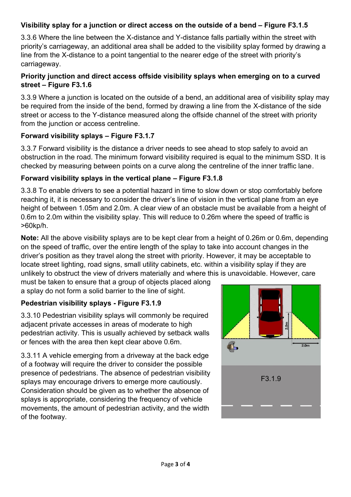#### **Visibility splay for a junction or direct access on the outside of a bend – Figure F3.1.5**

3.3.6 Where the line between the X-distance and Y-distance falls partially within the street with priority's carriageway, an additional area shall be added to the visibility splay formed by drawing a line from the X-distance to a point tangential to the nearer edge of the street with priority's carriageway.

#### **Priority junction and direct access offside visibility splays when emerging on to a curved street – Figure F3.1.6**

3.3.9 Where a junction is located on the outside of a bend, an additional area of visibility splay may be required from the inside of the bend, formed by drawing a line from the X-distance of the side street or access to the Y-distance measured along the offside channel of the street with priority from the junction or access centreline.

#### **Forward visibility splays – Figure F3.1.7**

3.3.7 Forward visibility is the distance a driver needs to see ahead to stop safely to avoid an obstruction in the road. The minimum forward visibility required is equal to the minimum SSD. It is checked by measuring between points on a curve along the centreline of the inner traffic lane.

#### **Forward visibility splays in the vertical plane – Figure F3.1.8**

3.3.8 To enable drivers to see a potential hazard in time to slow down or stop comfortably before reaching it, it is necessary to consider the driver's line of vision in the vertical plane from an eye height of between 1.05m and 2.0m. A clear view of an obstacle must be available from a height of 0.6m to 2.0m within the visibility splay. This will reduce to 0.26m where the speed of traffic is >60kp/h.

**Note:** All the above visibility splays are to be kept clear from a height of 0.26m or 0.6m, depending on the speed of traffic, over the entire length of the splay to take into account changes in the driver's position as they travel along the street with priority. However, it may be acceptable to locate street lighting, road signs, small utility cabinets, etc. within a visibility splay if they are unlikely to obstruct the view of drivers materially and where this is unavoidable. However, care

must be taken to ensure that a group of objects placed along a splay do not form a solid barrier to the line of sight.

#### **Pedestrian visibility splays - Figure F3.1.9**

3.3.10 Pedestrian visibility splays will commonly be required adjacent private accesses in areas of moderate to high pedestrian activity. This is usually achieved by setback walls or fences with the area then kept clear above 0.6m.

3.3.11 A vehicle emerging from a driveway at the back edge of a footway will require the driver to consider the possible presence of pedestrians. The absence of pedestrian visibility splays may encourage drivers to emerge more cautiously. Consideration should be given as to whether the absence of splays is appropriate, considering the frequency of vehicle movements, the amount of pedestrian activity, and the width of the footway.